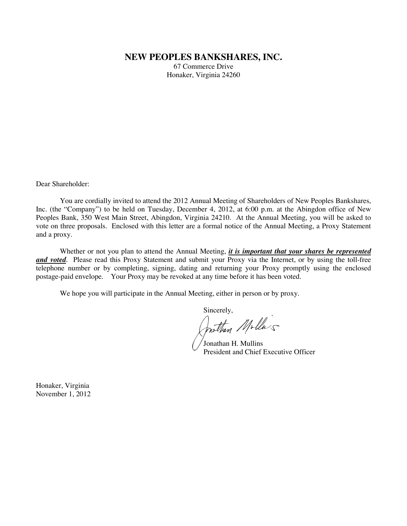# **NEW PEOPLES BANKSHARES, INC.**

67 Commerce Drive Honaker, Virginia 24260

Dear Shareholder:

You are cordially invited to attend the 2012 Annual Meeting of Shareholders of New Peoples Bankshares, Inc. (the "Company") to be held on Tuesday, December 4, 2012, at 6:00 p.m. at the Abingdon office of New Peoples Bank, 350 West Main Street, Abingdon, Virginia 24210. At the Annual Meeting, you will be asked to vote on three proposals. Enclosed with this letter are a formal notice of the Annual Meeting, a Proxy Statement and a proxy.

Whether or not you plan to attend the Annual Meeting, *it is important that your shares be represented and voted*. Please read this Proxy Statement and submit your Proxy via the Internet, or by using the toll-free telephone number or by completing, signing, dating and returning your Proxy promptly using the enclosed postage-paid envelope. Your Proxy may be revoked at any time before it has been voted.

We hope you will participate in the Annual Meeting, either in person or by proxy.

Sincerely,<br>Prothan Molla's

Jonathan H. Mullins President and Chief Executive Officer

Honaker, Virginia November 1, 2012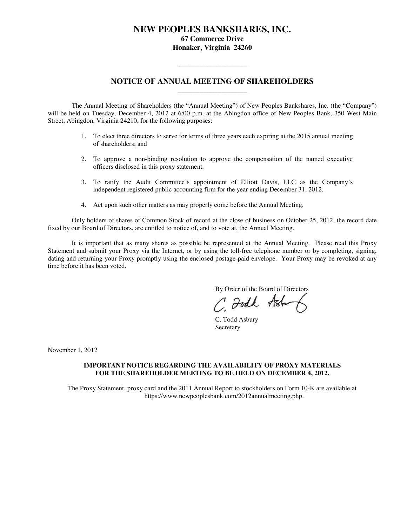# **NEW PEOPLES BANKSHARES, INC.**

**67 Commerce Drive Honaker, Virginia 24260**

# **NOTICE OF ANNUAL MEETING OF SHAREHOLDERS \_\_\_\_\_\_\_\_\_\_\_\_\_\_\_\_\_\_\_**

**\_\_\_\_\_\_\_\_\_\_\_\_\_\_\_\_\_\_\_**

The Annual Meeting of Shareholders (the "Annual Meeting") of New Peoples Bankshares, Inc. (the "Company") will be held on Tuesday, December 4, 2012 at 6:00 p.m. at the Abingdon office of New Peoples Bank, 350 West Main Street, Abingdon, Virginia 24210, for the following purposes:

- 1. To elect three directors to serve for terms of three years each expiring at the 2015 annual meeting of shareholders; and
- 2. To approve a non-binding resolution to approve the compensation of the named executive officers disclosed in this proxy statement.
- 3. To ratify the Audit Committee's appointment of Elliott Davis, LLC as the Company's independent registered public accounting firm for the year ending December 31, 2012.
- 4. Act upon such other matters as may properly come before the Annual Meeting.

Only holders of shares of Common Stock of record at the close of business on October 25, 2012, the record date fixed by our Board of Directors, are entitled to notice of, and to vote at, the Annual Meeting.

It is important that as many shares as possible be represented at the Annual Meeting. Please read this Proxy Statement and submit your Proxy via the Internet, or by using the toll-free telephone number or by completing, signing, dating and returning your Proxy promptly using the enclosed postage-paid envelope. Your Proxy may be revoked at any time before it has been voted.

By Order of the Board of Directors

C Foodk Ash

C. Todd Asbury Secretary

November 1, 2012

## **IMPORTANT NOTICE REGARDING THE AVAILABILITY OF PROXY MATERIALS FOR THE SHAREHOLDER MEETING TO BE HELD ON DECEMBER 4, 2012.**

The Proxy Statement, proxy card and the 2011 Annual Report to stockholders on Form 10-K are available at https://www.newpeoplesbank.com/2012annualmeeting.php.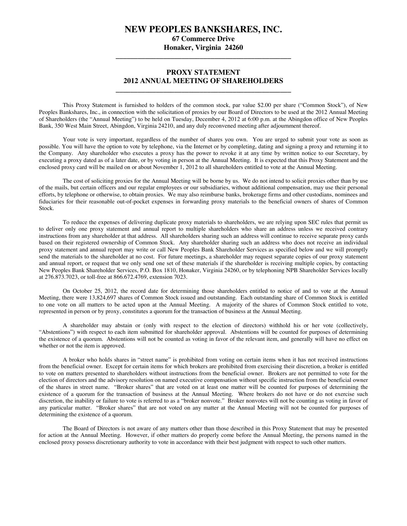# **NEW PEOPLES BANKSHARES, INC.**

**67 Commerce Drive Honaker, Virginia 24260**

**\_\_\_\_\_\_\_\_\_\_\_\_\_\_\_\_\_\_\_\_\_\_\_\_\_\_\_\_\_\_\_\_\_\_\_\_\_\_\_\_\_\_\_\_\_\_\_\_**

# **PROXY STATEMENT 2012 ANNUAL MEETING OF SHAREHOLDERS**

**\_\_\_\_\_\_\_\_\_\_\_\_\_\_\_\_\_\_\_\_\_\_\_\_\_\_\_\_\_\_\_\_\_\_\_\_\_\_\_\_\_\_\_\_\_\_\_\_**

This Proxy Statement is furnished to holders of the common stock, par value \$2.00 per share ("Common Stock"), of New Peoples Bankshares, Inc., in connection with the solicitation of proxies by our Board of Directors to be used at the 2012 Annual Meeting of Shareholders (the "Annual Meeting") to be held on Tuesday, December 4, 2012 at 6:00 p.m. at the Abingdon office of New Peoples Bank, 350 West Main Street, Abingdon, Virginia 24210, and any duly reconvened meeting after adjournment thereof.

Your vote is very important, regardless of the number of shares you own. You are urged to submit your vote as soon as possible. You will have the option to vote by telephone, via the Internet or by completing, dating and signing a proxy and returning it to the Company. Any shareholder who executes a proxy has the power to revoke it at any time by written notice to our Secretary, by executing a proxy dated as of a later date, or by voting in person at the Annual Meeting. It is expected that this Proxy Statement and the enclosed proxy card will be mailed on or about November 1, 2012 to all shareholders entitled to vote at the Annual Meeting.

The cost of soliciting proxies for the Annual Meeting will be borne by us. We do not intend to solicit proxies other than by use of the mails, but certain officers and our regular employees or our subsidiaries, without additional compensation, may use their personal efforts, by telephone or otherwise, to obtain proxies. We may also reimburse banks, brokerage firms and other custodians, nominees and fiduciaries for their reasonable out-of-pocket expenses in forwarding proxy materials to the beneficial owners of shares of Common Stock.

To reduce the expenses of delivering duplicate proxy materials to shareholders, we are relying upon SEC rules that permit us to deliver only one proxy statement and annual report to multiple shareholders who share an address unless we received contrary instructions from any shareholder at that address. All shareholders sharing such an address will continue to receive separate proxy cards based on their registered ownership of Common Stock. Any shareholder sharing such an address who does not receive an individual proxy statement and annual report may write or call New Peoples Bank Shareholder Services as specified below and we will promptly send the materials to the shareholder at no cost. For future meetings, a shareholder may request separate copies of our proxy statement and annual report, or request that we only send one set of these materials if the shareholder is receiving multiple copies, by contacting New Peoples Bank Shareholder Services, P.O. Box 1810, Honaker, Virginia 24260, or by telephoning NPB Shareholder Services locally at 276.873.7023, or toll-free at 866.672.4769, extension 7023.

On October 25, 2012, the record date for determining those shareholders entitled to notice of and to vote at the Annual Meeting, there were 13,824,697 shares of Common Stock issued and outstanding. Each outstanding share of Common Stock is entitled to one vote on all matters to be acted upon at the Annual Meeting. A majority of the shares of Common Stock entitled to vote, represented in person or by proxy, constitutes a quorum for the transaction of business at the Annual Meeting.

A shareholder may abstain or (only with respect to the election of directors) withhold his or her vote (collectively, "Abstentions") with respect to each item submitted for shareholder approval. Abstentions will be counted for purposes of determining the existence of a quorum. Abstentions will not be counted as voting in favor of the relevant item, and generally will have no effect on whether or not the item is approved.

A broker who holds shares in "street name" is prohibited from voting on certain items when it has not received instructions from the beneficial owner. Except for certain items for which brokers are prohibited from exercising their discretion, a broker is entitled to vote on matters presented to shareholders without instructions from the beneficial owner. Brokers are not permitted to vote for the election of directors and the advisory resolution on named executive compensation without specific instruction from the beneficial owner of the shares in street name. "Broker shares" that are voted on at least one matter will be counted for purposes of determining the existence of a quorum for the transaction of business at the Annual Meeting. Where brokers do not have or do not exercise such discretion, the inability or failure to vote is referred to as a "broker nonvote." Broker nonvotes will not be counting as voting in favor of any particular matter. "Broker shares" that are not voted on any matter at the Annual Meeting will not be counted for purposes of determining the existence of a quorum.

The Board of Directors is not aware of any matters other than those described in this Proxy Statement that may be presented for action at the Annual Meeting. However, if other matters do properly come before the Annual Meeting, the persons named in the enclosed proxy possess discretionary authority to vote in accordance with their best judgment with respect to such other matters.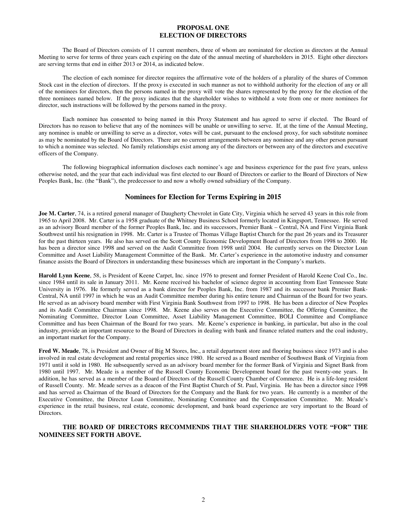## **PROPOSAL ONE ELECTION OF DIRECTORS**

The Board of Directors consists of 11 current members, three of whom are nominated for election as directors at the Annual Meeting to serve for terms of three years each expiring on the date of the annual meeting of shareholders in 2015. Eight other directors are serving terms that end in either 2013 or 2014, as indicated below.

The election of each nominee for director requires the affirmative vote of the holders of a plurality of the shares of Common Stock cast in the election of directors. If the proxy is executed in such manner as not to withhold authority for the election of any or all of the nominees for directors, then the persons named in the proxy will vote the shares represented by the proxy for the election of the three nominees named below. If the proxy indicates that the shareholder wishes to withhold a vote from one or more nominees for director, such instructions will be followed by the persons named in the proxy.

Each nominee has consented to being named in this Proxy Statement and has agreed to serve if elected. The Board of Directors has no reason to believe that any of the nominees will be unable or unwilling to serve. If, at the time of the Annual Meeting, any nominee is unable or unwilling to serve as a director, votes will be cast, pursuant to the enclosed proxy, for such substitute nominee as may be nominated by the Board of Directors. There are no current arrangements between any nominee and any other person pursuant to which a nominee was selected. No family relationships exist among any of the directors or between any of the directors and executive officers of the Company.

The following biographical information discloses each nominee's age and business experience for the past five years, unless otherwise noted, and the year that each individual was first elected to our Board of Directors or earlier to the Board of Directors of New Peoples Bank, Inc. (the "Bank"), the predecessor to and now a wholly owned subsidiary of the Company.

# **Nominees for Election for Terms Expiring in 2015**

**Joe M. Carter**, 74, is a retired general manager of Daugherty Chevrolet in Gate City, Virginia which he served 43 years in this role from 1965 to April 2008. Mr. Carter is a 1958 graduate of the Whitney Business School formerly located in Kingsport, Tennessee. He served as an advisory Board member of the former Peoples Bank, Inc. and its successors, Premier Bank – Central, NA and First Virginia Bank Southwest until his resignation in 1998. Mr. Carter is a Trustee of Thomas Village Baptist Church for the past 26 years and its Treasurer for the past thirteen years. He also has served on the Scott County Economic Development Board of Directors from 1998 to 2000. He has been a director since 1998 and served on the Audit Committee from 1998 until 2004. He currently serves on the Director Loan Committee and Asset Liability Management Committee of the Bank. Mr. Carter's experience in the automotive industry and consumer finance assists the Board of Directors in understanding these businesses which are important in the Company's markets.

**Harold Lynn Keene**, 58, is President of Keene Carpet, Inc. since 1976 to present and former President of Harold Keene Coal Co., Inc. since 1984 until its sale in January 2011. Mr. Keene received his bachelor of science degree in accounting from East Tennessee State University in 1976. He formerly served as a bank director for Peoples Bank, Inc. from 1987 and its successor bank Premier Bank-Central, NA until 1997 in which he was an Audit Committee member during his entire tenure and Chairman of the Board for two years. He served as an advisory board member with First Virginia Bank Southwest from 1997 to 1998. He has been a director of New Peoples and its Audit Committee Chairman since 1998. Mr. Keene also serves on the Executive Committee, the Offering Committee, the Nominating Committee, Director Loan Committee, Asset Liability Management Committee, BOLI Committee and Compliance Committee and has been Chairman of the Board for two years. Mr. Keene's experience in banking, in particular, but also in the coal industry, provide an important resource to the Board of Directors in dealing with bank and finance related matters and the coal industry, an important market for the Company.

**Fred W. Meade**, 78, is President and Owner of Big M Stores, Inc., a retail department store and flooring business since 1973 and is also involved in real estate development and rental properties since 1980. He served as a Board member of Southwest Bank of Virginia from 1971 until it sold in 1980. He subsequently served as an advisory board member for the former Bank of Virginia and Signet Bank from 1980 until 1997. Mr. Meade is a member of the Russell County Economic Development board for the past twenty-one years. In addition, he has served as a member of the Board of Directors of the Russell County Chamber of Commerce. He is a life-long resident of Russell County. Mr. Meade serves as a deacon of the First Baptist Church of St. Paul, Virginia. He has been a director since 1998 and has served as Chairman of the Board of Directors for the Company and the Bank for two years. He currently is a member of the Executive Committee, the Director Loan Committee, Nominating Committee and the Compensation Committee. Mr. Meade's experience in the retail business, real estate, economic development, and bank board experience are very important to the Board of Directors.

# **THE BOARD OF DIRECTORS RECOMMENDS THAT THE SHAREHOLDERS VOTE "FOR" THE NOMINEES SET FORTH ABOVE.**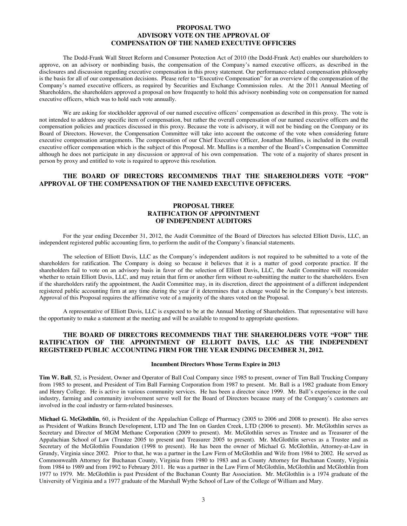## **PROPOSAL TWO ADVISORY VOTE ON THE APPROVAL OF COMPENSATION OF THE NAMED EXECUTIVE OFFICERS**

The Dodd-Frank Wall Street Reform and Consumer Protection Act of 2010 (the Dodd-Frank Act) enables our shareholders to approve, on an advisory or nonbinding basis, the compensation of the Company's named executive officers, as described in the disclosures and discussion regarding executive compensation in this proxy statement. Our performance-related compensation philosophy is the basis for all of our compensation decisions. Please refer to "Executive Compensation" for an overview of the compensation of the Company's named executive officers, as required by Securities and Exchange Commission rules. At the 2011 Annual Meeting of Shareholders, the shareholders approved a proposal on how frequently to hold this advisory nonbinding vote on compensation for named executive officers, which was to hold such vote annually.

We are asking for stockholder approval of our named executive officers' compensation as described in this proxy. The vote is not intended to address any specific item of compensation, but rather the overall compensation of our named executive officers and the compensation policies and practices discussed in this proxy. Because the vote is advisory, it will not be binding on the Company or its Board of Directors. However, the Compensation Committee will take into account the outcome of the vote when considering future executive compensation arrangements. The compensation of our Chief Executive Officer, Jonathan Mullins, is included in the overall executive officer compensation which is the subject of this Proposal. Mr. Mullins is a member of the Board's Compensation Committee although he does not participate in any discussion or approval of his own compensation. The vote of a majority of shares present in person by proxy and entitled to vote is required to approve this resolution.

## **THE BOARD OF DIRECTORS RECOMMENDS THAT THE SHAREHOLDERS VOTE "FOR" APPROVAL OF THE COMPENSATION OF THE NAMED EXECUTIVE OFFICERS.**

## **PROPOSAL THREE RATIFICATION OF APPOINTMENT OF INDEPENDENT AUDITORS**

For the year ending December 31, 2012, the Audit Committee of the Board of Directors has selected Elliott Davis, LLC, an independent registered public accounting firm, to perform the audit of the Company's financial statements.

The selection of Elliott Davis, LLC as the Company's independent auditors is not required to be submitted to a vote of the shareholders for ratification. The Company is doing so because it believes that it is a matter of good corporate practice. If the shareholders fail to vote on an advisory basis in favor of the selection of Elliott Davis, LLC, the Audit Committee will reconsider whether to retain Elliott Davis, LLC, and may retain that firm or another firm without re-submitting the matter to the shareholders. Even if the shareholders ratify the appointment, the Audit Committee may, in its discretion, direct the appointment of a different independent registered public accounting firm at any time during the year if it determines that a change would be in the Company's best interests. Approval of this Proposal requires the affirmative vote of a majority of the shares voted on the Proposal.

A representative of Elliott Davis, LLC is expected to be at the Annual Meeting of Shareholders. That representative will have the opportunity to make a statement at the meeting and will be available to respond to appropriate questions.

## **THE BOARD OF DIRECTORS RECOMMENDS THAT THE SHAREHOLDERS VOTE "FOR" THE RATIFICATION OF THE APPOINTMENT OF ELLIOTT DAVIS, LLC AS THE INDEPENDENT REGISTERED PUBLIC ACCOUNTING FIRM FOR THE YEAR ENDING DECEMBER 31, 2012.**

#### **Incumbent Directors Whose Terms Expire in 2013**

**Tim W. Ball**, 52, is President, Owner and Operator of Ball Coal Company since 1985 to present, owner of Tim Ball Trucking Company from 1985 to present, and President of Tim Ball Farming Corporation from 1987 to present. Mr. Ball is a 1982 graduate from Emory and Henry College. He is active in various community services. He has been a director since 1999. Mr. Ball's experience in the coal industry, farming and community involvement serve well for the Board of Directors because many of the Company's customers are involved in the coal industry or farm-related businesses.

**Michael G. McGlothlin**, 60, is President of the Appalachian College of Pharmacy (2005 to 2006 and 2008 to present). He also serves as President of Watkins Branch Development, LTD and The Inn on Garden Creek, LTD (2006 to present). Mr. McGlothlin serves as Secretary and Director of MGM Methane Corporation (2009 to present). Mr. McGlothlin serves as Trustee and as Treasurer of the Appalachian School of Law (Trustee 2005 to present and Treasurer 2005 to present). Mr. McGlothlin serves as a Trustee and as Secretary of the McGlothlin Foundation (1998 to present). He has been the owner of Michael G. McGlothlin, Attorney-at-Law in Grundy, Virginia since 2002. Prior to that, he was a partner in the Law Firm of McGlothlin and Wife from 1984 to 2002. He served as Commonwealth Attorney for Buchanan County, Virginia from 1980 to 1983 and as County Attorney for Buchanan County, Virginia from 1984 to 1989 and from 1992 to February 2011. He was a partner in the Law Firm of McGlothlin, McGlothlin and McGlothlin from 1977 to 1979. Mr. McGlothlin is past President of the Buchanan County Bar Association. Mr. McGlothlin is a 1974 graduate of the University of Virginia and a 1977 graduate of the Marshall Wythe School of Law of the College of William and Mary.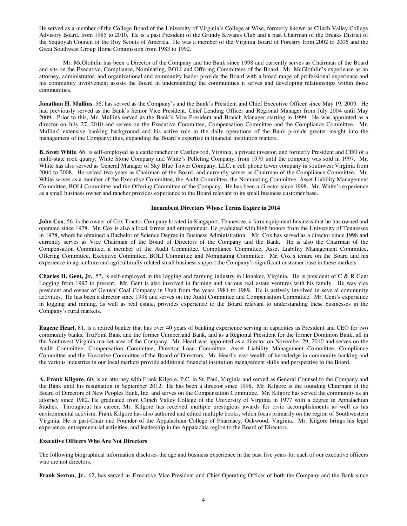He served as a member of the College Board of the University of Virginia's College at Wise, formerly known as Clinch Valley College Advisory Board, from 1985 to 2010. He is a past President of the Grundy Kiwanis Club and a past Chairman of the Breaks District of the Sequoyah Council of the Boy Scouts of America. He was a member of the Virginia Board of Forestry from 2002 to 2006 and the Great Southwest Group Home Commission from 1983 to 1992.

Mr. McGlothlin has been a Director of the Company and the Bank since 1998 and currently serves as Chairman of the Board and sits on the Executive, Compliance, Nominating, BOLI and Offering Committees of the Board. Mr. McGlothlin's experience as an attorney, administrator, and organizational and community leader provide the Board with a broad range of professional experience and his community involvement assists the Board in understanding the communities it serves and developing relationships within those communities.

**Jonathan H. Mullins**, 56, has served as the Company's and the Bank's President and Chief Executive Officer since May 19, 2009. He had previously served as the Bank's Senior Vice President, Chief Lending Officer and Regional Manager from July 2004 until May 2009. Prior to this, Mr. Mullins served as the Bank's Vice President and Branch Manager starting in 1999. He was appointed as a director on July 27, 2010 and serves on the Executive Committee, Compensation Committee and the Compliance Committee. Mr. Mullins' extensive banking background and his active role in the daily operations of the Bank provide greater insight into the management of the Company; thus, expanding the Board's expertise in financial institution matters.

**B. Scott White**, 66, is self-employed as a cattle rancher in Castlewood, Virginia, a private investor, and formerly President and CEO of a multi-state rock quarry, White Stone Company and White's Pelleting Company, from 1970 until the company was sold in 1997. Mr. White has also served as General Manager of Sky Blue Tower Company, LLC, a cell phone tower company in southwest Virginia from 2004 to 2008. He served two years as Chairman of the Board, and currently serves as Chairman of the Compliance Committee. Mr. White serves as a member of the Executive Committee, the Audit Committee, the Nominating Committee, Asset Liability Management Committee, BOLI Committee and the Offering Committee of the Company. He has been a director since 1998. Mr. White's experience as a small business owner and rancher provides experience to the Board relevant to its small business customer base.

#### **Incumbent Directors Whose Terms Expire in 2014**

**John Cox**, 56, is the owner of Cox Tractor Company located in Kingsport, Tennessee, a farm equipment business that he has owned and operated since 1978. Mr. Cox is also a local farmer and entrepreneur. He graduated with high honors from the University of Tennessee in 1978, where he obtained a Bachelor of Science Degree in Business Administration. Mr. Cox has served as a director since 1998 and currently serves as Vice Chairman of the Board of Directors of the Company and the Bank. He is also the Chairman of the Compensation Committee, a member of the Audit Committee, Compliance Committee, Asset Liability Management Committee, Offering Committee, Executive Committee, BOLI Committee and Nominating Committee. Mr. Cox's tenure on the Board and his experience in agriculture and agriculturally related small business support the Company's significant customer base in these markets.

**Charles H. Gent, Jr.**, 53, is self-employed in the logging and farming industry in Honaker, Virginia. He is president of C & R Gent Logging from 1992 to present. Mr. Gent is also involved in farming and various real estate ventures with his family. He was vice president and owner of Genwal Coal Company in Utah from the years 1981 to 1989. He is actively involved in several community activities. He has been a director since 1998 and serves on the Audit Committee and Compensation Committee. Mr. Gent's experience in logging and mining, as well as real estate, provides experience to the Board relevant to understanding these businesses in the Company's rural markets.

**Eugene Hearl,** 81, is a retired banker that has over 40 years of banking experience serving in capacities as President and CEO for two community banks, TruPoint Bank and the former Cumberland Bank, and as a Regional President for the former Dominion Bank, all in the Southwest Virginia market area of the Company. Mr. Hearl was appointed as a director on November 29, 2010 and serves on the Audit Committee, Compensation Committee, Director Loan Committee, Asset Liability Management Committee, Compliance Committee and the Executive Committee of the Board of Directors. Mr. Hearl's vast wealth of knowledge in community banking and the various industries in our local markets provide additional financial institution management skills and perspective to the Board.

**A. Frank Kilgore**, 60, is an attorney with Frank Kilgore, P.C. in St. Paul, Virginia and served as General Counsel to the Company and the Bank until his resignation in September 2012. He has been a director since 1998. Mr. Kilgore is the founding Chairman of the Board of Directors of New Peoples Bank, Inc. and serves on the Compensation Committee. Mr. Kilgore has served the community as an attorney since 1982. He graduated from Clinch Valley College of the University of Virginia in 1977 with a degree in Appalachian Studies. Throughout his career, Mr. Kilgore has received multiple prestigious awards for civic accomplishments as well as his environmental activism. Frank Kilgore has also authored and edited multiple books, which focus primarily on the region of Southwestern Virginia. He is past-Chair and Founder of the Appalachian College of Pharmacy, Oakwood, Virginia. Mr. Kilgore brings his legal experience, entrepreneurial activities, and leadership in the Appalachia region to the Board of Directors.

#### **Executive Officers Who Are Not Directors**

The following biographical information discloses the age and business experience in the past five years for each of our executive officers who are not directors.

**Frank Sexton, Jr.**, 62, has served as Executive Vice President and Chief Operating Officer of both the Company and the Bank since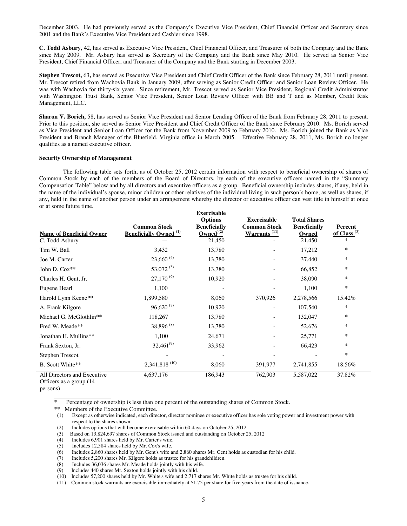December 2003. He had previously served as the Company's Executive Vice President, Chief Financial Officer and Secretary since 2001 and the Bank's Executive Vice President and Cashier since 1998.

**C. Todd Asbury**, 42, has served as Executive Vice President, Chief Financial Officer, and Treasurer of both the Company and the Bank since May 2009. Mr. Asbury has served as Secretary of the Company and the Bank since May 2010. He served as Senior Vice President, Chief Financial Officer, and Treasurer of the Company and the Bank starting in December 2003.

**Stephen Trescot,** 63**,** has served as Executive Vice President and Chief Credit Officer of the Bank since February 28, 2011 until present. Mr. Trescot retired from Wachovia Bank in January 2009, after serving as Senior Credit Officer and Senior Loan Review Officer. He was with Wachovia for thirty-six years. Since retirement, Mr. Trescot served as Senior Vice President, Regional Credit Administrator with Washington Trust Bank, Senior Vice President, Senior Loan Review Officer with BB and T and as Member, Credit Risk Management, LLC.

**Sharon V. Borich,** 58, has served as Senior Vice President and Senior Lending Officer of the Bank from February 28, 2011 to present. Prior to this position, she served as Senior Vice President and Chief Credit Officer of the Bank since February 2010. Ms. Borich served as Vice President and Senior Loan Officer for the Bank from November 2009 to February 2010. Ms. Borich joined the Bank as Vice President and Branch Manager of the Bluefield, Virginia office in March 2005. Effective February 28, 2011, Ms. Borich no longer qualifies as a named executive officer.

#### **Security Ownership of Management**

The following table sets forth, as of October 25, 2012 certain information with respect to beneficial ownership of shares of Common Stock by each of the members of the Board of Directors, by each of the executive officers named in the "Summary Compensation Table" below and by all directors and executive officers as a group. Beneficial ownership includes shares, if any, held in the name of the individual's spouse, minor children or other relatives of the individual living in such person's home, as well as shares, if any, held in the name of another person under an arrangement whereby the director or executive officer can vest title in himself at once or at some future time.

**Exercisable** 

| <b>Name of Beneficial Owner</b><br>C. Todd Asbury | <b>Common Stock</b><br><b>Beneficially Owned</b> <sup>(1)</sup> | елегеваріс<br><b>Options</b><br><b>Beneficially</b><br>Owned $(2)$<br>21,450 | <b>Exercisable</b><br><b>Common Stock</b><br><b>Warrants</b> <sup>(11)</sup> | <b>Total Shares</b><br><b>Beneficially</b><br>Owned<br>21,450 | Percent<br>of Class <sup>(3)</sup><br>$\ast$ |
|---------------------------------------------------|-----------------------------------------------------------------|------------------------------------------------------------------------------|------------------------------------------------------------------------------|---------------------------------------------------------------|----------------------------------------------|
| Tim W. Ball                                       | 3,432                                                           | 13,780                                                                       |                                                                              | 17,212                                                        | $\ast$                                       |
| Joe M. Carter                                     | $23,660^{(4)}$                                                  | 13,780                                                                       |                                                                              | 37,440                                                        | ∗                                            |
| John D. Cox**                                     | 53,072 <sup>(5)</sup>                                           | 13,780                                                                       |                                                                              | 66,852                                                        | $\ast$                                       |
| Charles H. Gent, Jr.                              | $27,170^{(6)}$                                                  | 10,920                                                                       |                                                                              | 38,090                                                        | ∗                                            |
| Eugene Hearl                                      | 1,100                                                           |                                                                              |                                                                              | 1,100                                                         | $\ast$                                       |
| Harold Lynn Keene**                               | 1,899,580                                                       | 8,060                                                                        | 370,926                                                                      | 2,278,566                                                     | 15.42%                                       |
| A. Frank Kilgore                                  | $96,620^{(7)}$                                                  | 10,920                                                                       | $\overline{\phantom{a}}$                                                     | 107,540                                                       | *                                            |
| Michael G. McGlothlin**                           | 118,267                                                         | 13,780                                                                       |                                                                              | 132,047                                                       | $\ast$                                       |
| Fred W. Meade**                                   | 38,896 <sup>(8)</sup>                                           | 13,780                                                                       |                                                                              | 52,676                                                        | ∗                                            |
| Jonathan H. Mullins**                             | 1,100                                                           | 24,671                                                                       |                                                                              | 25,771                                                        | ∗                                            |
| Frank Sexton, Jr.                                 | $32,461^{(9)}$                                                  | 33,962                                                                       |                                                                              | 66,423                                                        | $\ast$                                       |
| Stephen Trescot                                   |                                                                 |                                                                              |                                                                              |                                                               | $\ast$                                       |
| B. Scott White**                                  | $2,341,818$ <sup>(10)</sup>                                     | 8,060                                                                        | 391,977                                                                      | 2,741,855                                                     | 18.56%                                       |
| All Directors and Executive                       | 4,637,176                                                       | 186,943                                                                      | 762,903                                                                      | 5,587,022                                                     | 37.82%                                       |

Officers as a group (14 persons)

Percentage of ownership is less than one percent of the outstanding shares of Common Stock.

\*\* Members of the Executive Committee.

(1) Except as otherwise indicated, each director, director nominee or executive officer has sole voting power and investment power with respect to the shares shown.

(2) Includes options that will become exercisable within 60 days on October 25, 2012

(3) Based on 13,824,697 shares of Common Stock issued and outstanding on October 25, 2012

(4) Includes 6,901 shares held by Mr. Carter's wife.

(5) Includes 12,584 shares held by Mr. Cox's wife.<br>(6) Includes 2,860 shares held by Mr. Gent's wife a

(6) Includes 2,860 shares held by Mr. Gent's wife and 2,860 shares Mr. Gent holds as custodian for his child.  $(7)$  Includes 5.200 shares Mr. Kilgore holds as trustee for his grandchildren.

Includes 5,200 shares Mr. Kilgore holds as trustee for his grandchildren.

(8) Includes 36,036 shares Mr. Meade holds jointly with his wife.<br>(9) Includes 440 shares Mr. Sexton holds jointly with his child.

Includes 440 shares Mr. Sexton holds jointly with his child.

(10) Includes 57,200 shares held by Mr. White's wife and 2,717 shares Mr. White holds as trustee for his child.

(11) Common stock warrants are exercisable immediately at \$1.75 per share for five years from the date of issuance.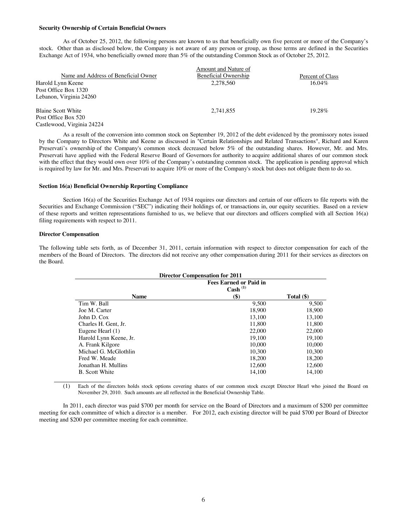#### **Security Ownership of Certain Beneficial Owners**

As of October 25, 2012, the following persons are known to us that beneficially own five percent or more of the Company's stock. Other than as disclosed below, the Company is not aware of any person or group, as those terms are defined in the Securities Exchange Act of 1934, who beneficially owned more than 5% of the outstanding Common Stock as of October 25, 2012.

| Amount and Nature of        |                  |
|-----------------------------|------------------|
| <b>Beneficial Ownership</b> | Percent of Class |
| 2.278.560                   | $16.04\%$        |
|                             |                  |
|                             |                  |
| 2,741,855                   | 19.28%           |
|                             |                  |
|                             |                  |
|                             |                  |

As a result of the conversion into common stock on September 19, 2012 of the debt evidenced by the promissory notes issued by the Company to Directors White and Keene as discussed in "Certain Relationships and Related Transactions", Richard and Karen Preservati's ownership of the Company's common stock decreased below 5% of the outstanding shares. However, Mr. and Mrs. Preservati have applied with the Federal Reserve Board of Governors for authority to acquire additional shares of our common stock with the effect that they would own over 10% of the Company's outstanding common stock. The application is pending approval which is required by law for Mr. and Mrs. Preservati to acquire 10% or more of the Company's stock but does not obligate them to do so.

#### **Section 16(a) Beneficial Ownership Reporting Compliance**

Section 16(a) of the Securities Exchange Act of 1934 requires our directors and certain of our officers to file reports with the Securities and Exchange Commission ("SEC") indicating their holdings of, or transactions in, our equity securities. Based on a review of these reports and written representations furnished to us, we believe that our directors and officers complied with all Section 16(a) filing requirements with respect to 2011.

#### **Director Compensation**

The following table sets forth, as of December 31, 2011, certain information with respect to director compensation for each of the members of the Board of Directors. The directors did not receive any other compensation during 2011 for their services as directors on the Board.

| <b>Director Compensation for 2011</b> |                                                        |            |  |  |
|---------------------------------------|--------------------------------------------------------|------------|--|--|
|                                       | <b>Fees Earned or Paid in</b><br>$\mathbf{Cash}^{(1)}$ |            |  |  |
|                                       |                                                        |            |  |  |
| <b>Name</b>                           | $\left( \text{\$}\right)$                              | Total (\$) |  |  |
| Tim W. Ball                           | 9,500                                                  | 9,500      |  |  |
| Joe M. Carter                         | 18.900                                                 | 18.900     |  |  |
| John D. Cox                           | 13.100                                                 | 13.100     |  |  |
| Charles H. Gent, Jr.                  | 11.800                                                 | 11.800     |  |  |
| Eugene Hearl (1)                      | 22,000                                                 | 22,000     |  |  |
| Harold Lynn Keene, Jr.                | 19,100                                                 | 19,100     |  |  |
| A. Frank Kilgore                      | 10.000                                                 | 10.000     |  |  |
| Michael G. McGlothlin                 | 10.300                                                 | 10.300     |  |  |
| Fred W. Meade                         | 18,200                                                 | 18,200     |  |  |
| Jonathan H. Mullins                   | 12,600                                                 | 12,600     |  |  |
| B. Scott White                        | 14.100                                                 | 14.100     |  |  |

<sup>(1)</sup> Each of the directors holds stock options covering shares of our common stock except Director Hearl who joined the Board on November 29, 2010. Such amounts are all reflected in the Beneficial Ownership Table.

In 2011, each director was paid \$700 per month for service on the Board of Directors and a maximum of \$200 per committee meeting for each committee of which a director is a member. For 2012, each existing director will be paid \$700 per Board of Director meeting and \$200 per committee meeting for each committee.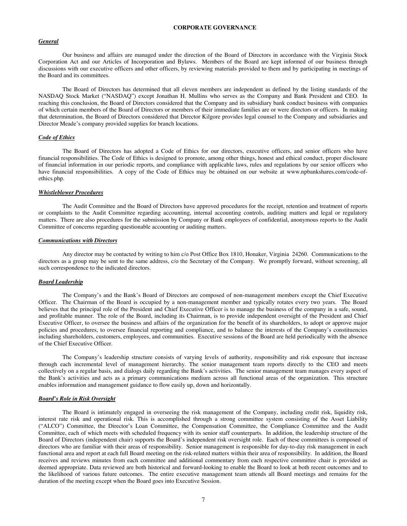#### **CORPORATE GOVERNANCE**

#### *General*

Our business and affairs are managed under the direction of the Board of Directors in accordance with the Virginia Stock Corporation Act and our Articles of Incorporation and Bylaws. Members of the Board are kept informed of our business through discussions with our executive officers and other officers, by reviewing materials provided to them and by participating in meetings of the Board and its committees.

The Board of Directors has determined that all eleven members are independent as defined by the listing standards of the NASDAQ Stock Market ("NASDAQ") except Jonathan H. Mullins who serves as the Company and Bank President and CEO. In reaching this conclusion, the Board of Directors considered that the Company and its subsidiary bank conduct business with companies of which certain members of the Board of Directors or members of their immediate families are or were directors or officers. In making that determination, the Board of Directors considered that Director Kilgore provides legal counsel to the Company and subsidiaries and Director Meade's company provided supplies for branch locations.

#### *Code of Ethics*

The Board of Directors has adopted a Code of Ethics for our directors, executive officers, and senior officers who have financial responsibilities. The Code of Ethics is designed to promote, among other things, honest and ethical conduct, proper disclosure of financial information in our periodic reports, and compliance with applicable laws, rules and regulations by our senior officers who have financial responsibilities. A copy of the Code of Ethics may be obtained on our website at www.npbankshares.com/code-ofethics.php.

#### *Whistleblower Procedures*

The Audit Committee and the Board of Directors have approved procedures for the receipt, retention and treatment of reports or complaints to the Audit Committee regarding accounting, internal accounting controls, auditing matters and legal or regulatory matters. There are also procedures for the submission by Company or Bank employees of confidential, anonymous reports to the Audit Committee of concerns regarding questionable accounting or auditing matters.

#### *Communications with Directors*

Any director may be contacted by writing to him c/o Post Office Box 1810, Honaker, Virginia 24260. Communications to the directors as a group may be sent to the same address, c/o the Secretary of the Company. We promptly forward, without screening, all such correspondence to the indicated directors.

#### *Board Leadership*

The Company's and the Bank's Board of Directors are composed of non-management members except the Chief Executive Officer. The Chairman of the Board is occupied by a non-management member and typically rotates every two years. The Board believes that the principal role of the President and Chief Executive Officer is to manage the business of the company in a safe, sound, and profitable manner. The role of the Board, including its Chairman, is to provide independent oversight of the President and Chief Executive Officer, to oversee the business and affairs of the organization for the benefit of its shareholders, to adopt or approve major policies and procedures, to oversee financial reporting and compliance, and to balance the interests of the Company's constituencies including shareholders, customers, employees, and communities. Executive sessions of the Board are held periodically with the absence of the Chief Executive Officer.

The Company's leadership structure consists of varying levels of authority, responsibility and risk exposure that increase through each incremental level of management hierarchy. The senior management team reports directly to the CEO and meets collectively on a regular basis, and dialogs daily regarding the Bank's activities. The senior management team manages every aspect of the Bank's activities and acts as a primary communications medium across all functional areas of the organization. This structure enables information and management guidance to flow easily up, down and horizontally.

#### *Board's Role in Risk Oversight*

The Board is intimately engaged in overseeing the risk management of the Company, including credit risk, liquidity risk, interest rate risk and operational risk. This is accomplished through a strong committee system consisting of the Asset Liability ("ALCO") Committee, the Director's Loan Committee, the Compensation Committee, the Compliance Committee and the Audit Committee, each of which meets with scheduled frequency with its senior staff counterparts. In addition, the leadership structure of the Board of Directors (independent chair) supports the Board's independent risk oversight role. Each of these committees is composed of directors who are familiar with their areas of responsibility. Senior management is responsible for day-to-day risk management in each functional area and report at each full Board meeting on the risk-related matters within their area of responsibility. In addition, the Board receives and reviews minutes from each committee and additional commentary from each respective committee chair is provided as deemed appropriate. Data reviewed are both historical and forward-looking to enable the Board to look at both recent outcomes and to the likelihood of various future outcomes. The entire executive management team attends all Board meetings and remains for the duration of the meeting except when the Board goes into Executive Session.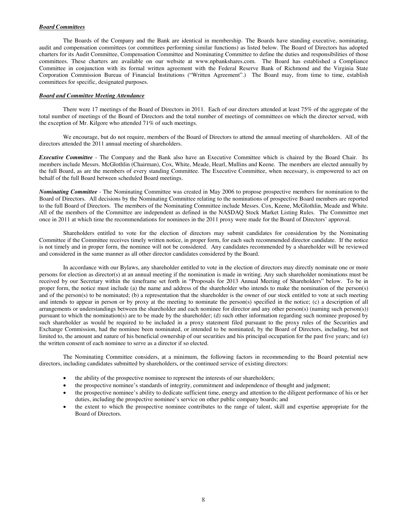#### *Board Committees*

The Boards of the Company and the Bank are identical in membership. The Boards have standing executive, nominating, audit and compensation committees (or committees performing similar functions) as listed below. The Board of Directors has adopted charters for its Audit Committee, Compensation Committee and Nominating Committee to define the duties and responsibilities of those committees. These charters are available on our website at www.npbankshares.com. The Board has established a Compliance Committee in conjunction with its formal written agreement with the Federal Reserve Bank of Richmond and the Virginia State Corporation Commission Bureau of Financial Institutions ("Written Agreement".) The Board may, from time to time, establish committees for specific, designated purposes.

#### *Board and Committee Meeting Attendance*

There were 17 meetings of the Board of Directors in 2011. Each of our directors attended at least 75% of the aggregate of the total number of meetings of the Board of Directors and the total number of meetings of committees on which the director served, with the exception of Mr. Kilgore who attended 71% of such meetings.

We encourage, but do not require, members of the Board of Directors to attend the annual meeting of shareholders. All of the directors attended the 2011 annual meeting of shareholders.

*Executive Committee* - The Company and the Bank also have an Executive Committee which is chaired by the Board Chair. Its members include Messrs. McGlothlin (Chairman), Cox, White, Meade, Hearl, Mullins and Keene. The members are elected annually by the full Board, as are the members of every standing Committee. The Executive Committee, when necessary, is empowered to act on behalf of the full Board between scheduled Board meetings.

*Nominating Committee -* The Nominating Committee was created in May 2006 to propose prospective members for nomination to the Board of Directors. All decisions by the Nominating Committee relating to the nominations of prospective Board members are reported to the full Board of Directors. The members of the Nominating Committee include Messrs. Cox, Keene, McGlothlin, Meade and White. All of the members of the Committee are independent as defined in the NASDAQ Stock Market Listing Rules. The Committee met once in 2011 at which time the recommendations for nominees in the 2011 proxy were made for the Board of Directors' approval.

Shareholders entitled to vote for the election of directors may submit candidates for consideration by the Nominating Committee if the Committee receives timely written notice, in proper form, for each such recommended director candidate. If the notice is not timely and in proper form, the nominee will not be considered. Any candidates recommended by a shareholder will be reviewed and considered in the same manner as all other director candidates considered by the Board.

In accordance with our Bylaws, any shareholder entitled to vote in the election of directors may directly nominate one or more persons for election as director(s) at an annual meeting if the nomination is made in writing. Any such shareholder nominations must be received by our Secretary within the timeframe set forth in "Proposals for 2013 Annual Meeting of Shareholders" below. To be in proper form, the notice must include (a) the name and address of the shareholder who intends to make the nomination of the person(s) and of the person(s) to be nominated; (b) a representation that the shareholder is the owner of our stock entitled to vote at such meeting and intends to appear in person or by proxy at the meeting to nominate the person(s) specified in the notice; (c) a description of all arrangements or understandings between the shareholder and each nominee for director and any other person(s) (naming such person(s)) pursuant to which the nomination(s) are to be made by the shareholder; (d) such other information regarding such nominee proposed by such shareholder as would be required to be included in a proxy statement filed pursuant to the proxy rules of the Securities and Exchange Commission, had the nominee been nominated, or intended to be nominated, by the Board of Directors, including, but not limited to, the amount and nature of his beneficial ownership of our securities and his principal occupation for the past five years; and (e) the written consent of each nominee to serve as a director if so elected.

The Nominating Committee considers, at a minimum, the following factors in recommending to the Board potential new directors, including candidates submitted by shareholders, or the continued service of existing directors:

- the ability of the prospective nominee to represent the interests of our shareholders;
- the prospective nominee's standards of integrity, commitment and independence of thought and judgment;
- the prospective nominee's ability to dedicate sufficient time, energy and attention to the diligent performance of his or her duties, including the prospective nominee's service on other public company boards; and
- the extent to which the prospective nominee contributes to the range of talent, skill and expertise appropriate for the Board of Directors.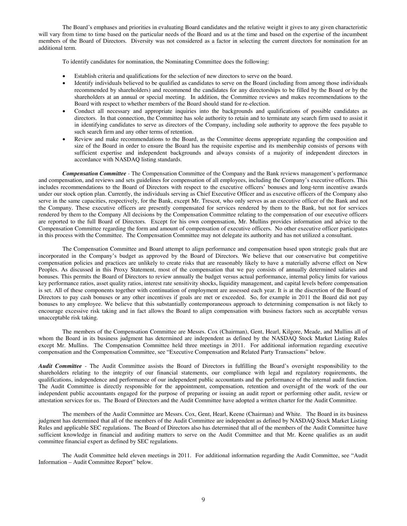The Board's emphases and priorities in evaluating Board candidates and the relative weight it gives to any given characteristic will vary from time to time based on the particular needs of the Board and us at the time and based on the expertise of the incumbent members of the Board of Directors. Diversity was not considered as a factor in selecting the current directors for nomination for an additional term.

To identify candidates for nomination, the Nominating Committee does the following:

- Establish criteria and qualifications for the selection of new directors to serve on the board.
- Identify individuals believed to be qualified as candidates to serve on the Board (including from among those individuals recommended by shareholders) and recommend the candidates for any directorships to be filled by the Board or by the shareholders at an annual or special meeting. In addition, the Committee reviews and makes recommendations to the Board with respect to whether members of the Board should stand for re-election.
- Conduct all necessary and appropriate inquiries into the backgrounds and qualifications of possible candidates as directors. In that connection, the Committee has sole authority to retain and to terminate any search firm used to assist it in identifying candidates to serve as directors of the Company, including sole authority to approve the fees payable to such search firm and any other terms of retention.
- Review and make recommendations to the Board, as the Committee deems appropriate regarding the composition and size of the Board in order to ensure the Board has the requisite expertise and its membership consists of persons with sufficient expertise and independent backgrounds and always consists of a majority of independent directors in accordance with NASDAQ listing standards.

*Compensation Committee -* The Compensation Committee of the Company and the Bank reviews management's performance and compensation, and reviews and sets guidelines for compensation of all employees, including the Company's executive officers. This includes recommendations to the Board of Directors with respect to the executive officers' bonuses and long-term incentive awards under our stock option plan. Currently, the individuals serving as Chief Executive Officer and as executive officers of the Company also serve in the same capacities, respectively, for the Bank, except Mr. Trescot, who only serves as an executive officer of the Bank and not the Company. These executive officers are presently compensated for services rendered by them to the Bank, but not for services rendered by them to the Company All decisions by the Compensation Committee relating to the compensation of our executive officers are reported to the full Board of Directors. Except for his own compensation, Mr. Mullins provides information and advice to the Compensation Committee regarding the form and amount of compensation of executive officers. No other executive officer participates in this process with the Committee. The Compensation Committee may not delegate its authority and has not utilized a consultant.

The Compensation Committee and Board attempt to align performance and compensation based upon strategic goals that are incorporated in the Company's budget as approved by the Board of Directors. We believe that our conservative but competitive compensation policies and practices are unlikely to create risks that are reasonably likely to have a materially adverse effect on New Peoples. As discussed in this Proxy Statement, most of the compensation that we pay consists of annually determined salaries and bonuses. This permits the Board of Directors to review annually the budget versus actual performance, internal policy limits for various key performance ratios, asset quality ratios, interest rate sensitivity shocks, liquidity management, and capital levels before compensation is set. All of these components together with continuation of employment are assessed each year. It is at the discretion of the Board of Directors to pay cash bonuses or any other incentives if goals are met or exceeded. So, for example in 2011 the Board did not pay bonuses to any employee. We believe that this substantially contemporaneous approach to determining compensation is not likely to encourage excessive risk taking and in fact allows the Board to align compensation with business factors such as acceptable versus unacceptable risk taking.

The members of the Compensation Committee are Messrs. Cox (Chairman), Gent, Hearl, Kilgore, Meade, and Mullins all of whom the Board in its business judgment has determined are independent as defined by the NASDAQ Stock Market Listing Rules except Mr. Mullins. The Compensation Committee held three meetings in 2011. For additional information regarding executive compensation and the Compensation Committee, see "Executive Compensation and Related Party Transactions" below.

*Audit Committee -* The Audit Committee assists the Board of Directors in fulfilling the Board's oversight responsibility to the shareholders relating to the integrity of our financial statements, our compliance with legal and regulatory requirements, the qualifications, independence and performance of our independent public accountants and the performance of the internal audit function. The Audit Committee is directly responsible for the appointment, compensation, retention and oversight of the work of the our independent public accountants engaged for the purpose of preparing or issuing an audit report or performing other audit, review or attestation services for us. The Board of Directors and the Audit Committee have adopted a written charter for the Audit Committee.

The members of the Audit Committee are Messrs. Cox, Gent, Hearl, Keene (Chairman) and White. The Board in its business judgment has determined that all of the members of the Audit Committee are independent as defined by NASDAQ Stock Market Listing Rules and applicable SEC regulations. The Board of Directors also has determined that all of the members of the Audit Committee have sufficient knowledge in financial and auditing matters to serve on the Audit Committee and that Mr. Keene qualifies as an audit committee financial expert as defined by SEC regulations.

The Audit Committee held eleven meetings in 2011. For additional information regarding the Audit Committee, see "Audit Information – Audit Committee Report" below.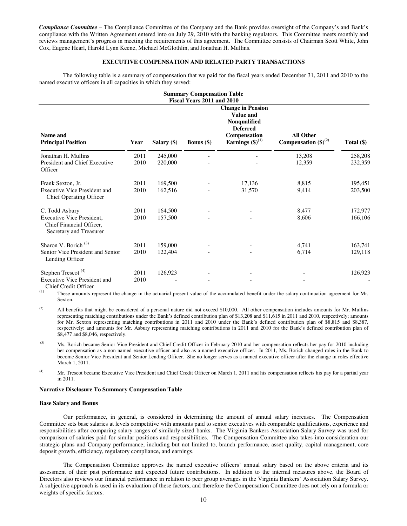*Compliance Committee* – The Compliance Committee of the Company and the Bank provides oversight of the Company's and Bank's compliance with the Written Agreement entered into on July 29, 2010 with the banking regulators. This Committee meets monthly and reviews management's progress in meeting the requirements of this agreement. The Committee consists of Chairman Scott White, John Cox, Eugene Hearl, Harold Lynn Keene, Michael McGlothlin, and Jonathan H. Mullins.

#### **EXECUTIVE COMPENSATION AND RELATED PARTY TRANSACTIONS**

The following table is a summary of compensation that we paid for the fiscal years ended December 31, 2011 and 2010 to the named executive officers in all capacities in which they served:

| <b>Summary Compensation Table</b><br>Fiscal Years 2011 and 2010                                    |              |                    |                     |                                                                                                                           |                                               |                    |
|----------------------------------------------------------------------------------------------------|--------------|--------------------|---------------------|---------------------------------------------------------------------------------------------------------------------------|-----------------------------------------------|--------------------|
| Name and<br><b>Principal Position</b>                                                              | Year         | Salary $($ )       | <b>Bonus</b> $(\$)$ | <b>Change in Pension</b><br>Value and<br>Nonqualified<br><b>Deferred</b><br>Compensation<br>Earnings $(\text{$\$})^{(1)}$ | <b>All Other</b><br>Compensation $(\$)^{(2)}$ | Total $(\$)$       |
| Jonathan H. Mullins<br>President and Chief Executive<br>Officer                                    | 2011<br>2010 | 245,000<br>220,000 |                     |                                                                                                                           | 13,208<br>12,359                              | 258,208<br>232,359 |
| Frank Sexton, Jr.<br><b>Executive Vice President and</b><br><b>Chief Operating Officer</b>         | 2011<br>2010 | 169,500<br>162,516 |                     | 17,136<br>31,570                                                                                                          | 8,815<br>9,414                                | 195,451<br>203,500 |
| C. Todd Asbury<br>Executive Vice President,<br>Chief Financial Officer,<br>Secretary and Treasurer | 2011<br>2010 | 164,500<br>157,500 |                     |                                                                                                                           | 8,477<br>8,606                                | 172,977<br>166,106 |
| Sharon V. Borich <sup>(3)</sup><br>Senior Vice President and Senior<br>Lending Officer             | 2011<br>2010 | 159,000<br>122,404 |                     |                                                                                                                           | 4,741<br>6,714                                | 163,741<br>129,118 |
| Stephen Trescot <sup>(4)</sup><br><b>Executive Vice President and</b><br>Chief Credit Officer      | 2011<br>2010 | 126,923            |                     |                                                                                                                           |                                               | 126,923            |

(1) These amounts represent the change in the actuarial present value of the accumulated benefit under the salary continuation agreement for Mr. Sexton.

<sup>(2)</sup> All benefits that might be considered of a personal nature did not exceed \$10,000. All other compensation includes amounts for Mr. Mullins representing matching contributions under the Bank's defined contribution plan of \$13,208 and \$11,615 in 2011 and 2010, respectively; amounts for Mr. Sexton representing matching contributions in 2011 and 2010 under the Bank's defined contribution plan of \$8,815 and \$8,387, respectively; and amounts for Mr. Asbury representing matching contributions in 2011 and 2010 for the Bank's defined contribution plan of \$8,477 and \$8,046, respectively.

(3) Ms. Borich became Senior Vice President and Chief Credit Officer in February 2010 and her compensation reflects her pay for 2010 including her compensation as a non-named executive officer and also as a named executive officer. In 2011, Ms. Borich changed roles in the Bank to become Senior Vice President and Senior Lending Officer. She no longer serves as a named executive officer after the change in roles effective March 1, 2011.

<sup>(4)</sup> Mr. Trescot became Executive Vice President and Chief Credit Officer on March 1, 2011 and his compensation reflects his pay for a partial year in 2011.

#### **Narrative Disclosure To Summary Compensation Table**

#### **Base Salary and Bonus**

Our performance, in general, is considered in determining the amount of annual salary increases. The Compensation Committee sets base salaries at levels competitive with amounts paid to senior executives with comparable qualifications, experience and responsibilities after comparing salary ranges of similarly sized banks. The Virginia Bankers Association Salary Survey was used for comparison of salaries paid for similar positions and responsibilities. The Compensation Committee also takes into consideration our strategic plans and Company performance, including but not limited to, branch performance, asset quality, capital management, core deposit growth, efficiency, regulatory compliance, and earnings.

A subjective approach is used in its evaluation of these factors, and therefore the Compensation Committee does not rely on a formula or<br>Weights of specific factors The Compensation Committee approves the named executive officers' annual salary based on the above criteria and its assessment of their past performance and expected future contributions. In addition to the internal measures above, the Board of Directors also reviews our financial performance in relation to peer group averages in the Virginia Bankers' Association Salary Survey. weights of specific factors.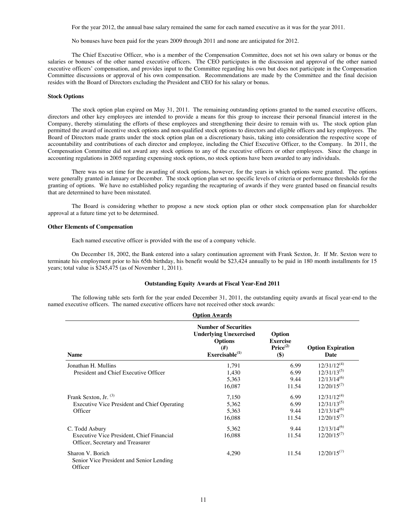For the year 2012, the annual base salary remained the same for each named executive as it was for the year 2011.

No bonuses have been paid for the years 2009 through 2011 and none are anticipated for 2012.

The Chief Executive Officer, who is a member of the Compensation Committee, does not set his own salary or bonus or the salaries or bonuses of the other named executive officers. The CEO participates in the discussion and approval of the other named executive officers' compensation, and provides input to the Committee regarding his own but does not participate in the Compensation Committee discussions or approval of his own compensation. Recommendations are made by the Committee and the final decision resides with the Board of Directors excluding the President and CEO for his salary or bonus.

#### **Stock Options**

The stock option plan expired on May 31, 2011. The remaining outstanding options granted to the named executive officers, directors and other key employees are intended to provide a means for this group to increase their personal financial interest in the Company, thereby stimulating the efforts of these employees and strengthening their desire to remain with us. The stock option plan permitted the award of incentive stock options and non-qualified stock options to directors and eligible officers and key employees. The Board of Directors made grants under the stock option plan on a discretionary basis, taking into consideration the respective scope of accountability and contributions of each director and employee, including the Chief Executive Officer, to the Company. In 2011, the Compensation Committee did not award any stock options to any of the executive officers or other employees. Since the change in accounting regulations in 2005 regarding expensing stock options, no stock options have been awarded to any individuals.

There was no set time for the awarding of stock options, however, for the years in which options were granted. The options were generally granted in January or December. The stock option plan set no specific levels of criteria or performance thresholds for the granting of options. We have no established policy regarding the recapturing of awards if they were granted based on financial results that are determined to have been misstated.

The Board is considering whether to propose a new stock option plan or other stock compensation plan for shareholder approval at a future time yet to be determined.

#### **Other Elements of Compensation**

Each named executive officer is provided with the use of a company vehicle.

On December 18, 2002, the Bank entered into a salary continuation agreement with Frank Sexton, Jr. If Mr. Sexton were to terminate his employment prior to his 65th birthday, his benefit would be \$23,424 annually to be paid in 180 month installments for 15 years; total value is \$245,475 (as of November 1, 2011).

#### **Outstanding Equity Awards at Fiscal Year-End 2011**

The following table sets forth for the year ended December 31, 2011, the outstanding equity awards at fiscal year-end to the named executive officers. The named executive officers have not received other stock awards: **Option Awards**

|                                                                               | UPUOIL AWAFUS                                                                                                    |                                                          |                                  |
|-------------------------------------------------------------------------------|------------------------------------------------------------------------------------------------------------------|----------------------------------------------------------|----------------------------------|
| <b>Name</b>                                                                   | <b>Number of Securities</b><br><b>Underlying Unexercised</b><br><b>Options</b><br>$(\#)$<br>Exercisable $^{(1)}$ | Option<br><b>Exercise</b><br>Price <sup>(2)</sup><br>\$) | <b>Option Expiration</b><br>Date |
| Jonathan H. Mullins                                                           | 1,791                                                                                                            | 6.99                                                     | $12/31/12^{(4)}$                 |
| President and Chief Executive Officer                                         | 1,430                                                                                                            | 6.99                                                     | $12/31/13^{(5)}$                 |
|                                                                               | 5,363                                                                                                            | 9.44                                                     | $12/13/14^{(6)}$                 |
|                                                                               | 16,087                                                                                                           | 11.54                                                    | $12/20/15^{(7)}$                 |
| Frank Sexton, Jr. (3)                                                         | 7,150                                                                                                            | 6.99                                                     | $12/31/12^{(4)}$                 |
| Executive Vice President and Chief Operating                                  | 5,362                                                                                                            | 6.99                                                     | $12/31/13^{(5)}$                 |
| Officer                                                                       | 5,363                                                                                                            | 9.44                                                     | $12/13/14^{(6)}$                 |
|                                                                               | 16,088                                                                                                           | 11.54                                                    | $12/20/15^{(7)}$                 |
| C. Todd Asbury                                                                | 5,362                                                                                                            | 9.44                                                     | $12/13/14^{(6)}$                 |
| Executive Vice President, Chief Financial<br>Officer, Secretary and Treasurer | 16,088                                                                                                           | 11.54                                                    | $12/20/15^{(7)}$                 |
| Sharon V. Borich<br>Senior Vice President and Senior Lending<br>Officer       | 4,290                                                                                                            | 11.54                                                    | $12/20/15^{(7)}$                 |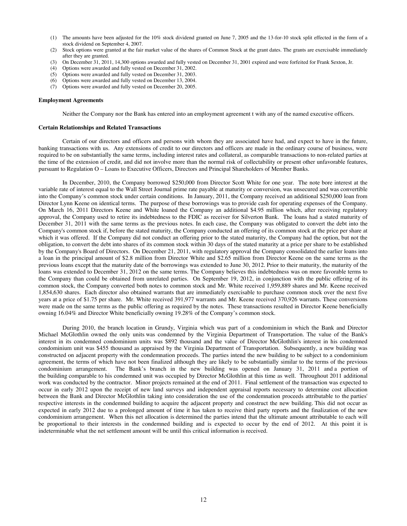- (1) The amounts have been adjusted for the 10% stock dividend granted on June 7, 2005 and the 13-for-10 stock split effected in the form of a stock dividend on September 4, 2007.
- (2) Stock options were granted at the fair market value of the shares of Common Stock at the grant dates. The grants are exercisable immediately after they are granted.
- (3) On December 31, 2011, 14,300 options awarded and fully vested on December 31, 2001 expired and were forfeited for Frank Sexton, Jr.
- (4) Options were awarded and fully vested on December 31, 2002.
- (5) Options were awarded and fully vested on December 31, 2003.
- (6) Options were awarded and fully vested on December 13, 2004.
- (7) Options were awarded and fully vested on December 20, 2005.

#### **Employment Agreements**

Neither the Company nor the Bank has entered into an employment agreement t with any of the named executive officers.

#### **Certain Relationships and Related Transactions**

Certain of our directors and officers and persons with whom they are associated have had, and expect to have in the future, banking transactions with us. Any extensions of credit to our directors and officers are made in the ordinary course of business, were required to be on substantially the same terms, including interest rates and collateral, as comparable transactions to non-related parties at the time of the extension of credit, and did not involve more than the normal risk of collectability or present other unfavorable features, pursuant to Regulation O – Loans to Executive Officers, Directors and Principal Shareholders of Member Banks.

In December, 2010, the Company borrowed \$250,000 from Director Scott White for one year. The note bore interest at the variable rate of interest equal to the Wall Street Journal prime rate payable at maturity or conversion, was unsecured and was convertible into the Company's common stock under certain conditions. In January, 2011, the Company received an additional \$250,000 loan from Director Lynn Keene on identical terms. The purpose of these borrowings was to provide cash for operating expenses of the Company. On March 16, 2011 Directors Keene and White loaned the Company an additional \$4.95 million which, after receiving regulatory approval, the Company used to retire its indebtedness to the FDIC as receiver for Silverton Bank. The loans had a stated maturity of December 31, 2011 with the same terms as the previous notes. In each case, the Company was obligated to convert the debt into the Company's common stock if, before the stated maturity, the Company conducted an offering of its common stock at the price per share at which it was offered. If the Company did not conduct an offering prior to the stated maturity, the Company had the option, but not the obligation, to convert the debt into shares of its common stock within 30 days of the stated maturity at a price per share to be established by the Company's Board of Directors. On December 21, 2011, with regulatory approval the Company consolidated the earlier loans into a loan in the principal amount of \$2.8 million from Director White and \$2.65 million from Director Keene on the same terms as the previous loans except that the maturity date of the borrowings was extended to June 30, 2012. Prior to their maturity, the maturity of the loans was extended to December 31, 2012 on the same terms. The Company believes this indebtedness was on more favorable terms to the Company than could be obtained from unrelated parties. On September 19, 2012, in conjunction with the public offering of its common stock, the Company converted both notes to common stock and Mr. White received 1,959,889 shares and Mr. Keene received 1,854,630 shares. Each director also obtained warrants that are immediately exercisable to purchase common stock over the next five years at a price of \$1.75 per share. Mr. White received 391,977 warrants and Mr. Keene received 370,926 warrants. These conversions were made on the same terms as the public offering as required by the notes. These transactions resulted in Director Keene beneficially owning 16.04% and Director White beneficially owning 19.28% of the Company's common stock.

During 2010, the branch location in Grundy, Virginia which was part of a condominium in which the Bank and Director Michael McGlothlin owned the only units was condemned by the Virginia Department of Transportation. The value of the Bank's interest in its condemned condominium units was \$892 thousand and the value of Director McGlothlin's interest in his condemned condominium unit was \$455 thousand as appraised by the Virginia Department of Transportation. Subsequently, a new building was constructed on adjacent property with the condemnation proceeds. The parties intend the new building to be subject to a condominium agreement, the terms of which have not been finalized although they are likely to be substantially similar to the terms of the previous condominium arrangement. The Bank's branch in the new building was opened on January 3 The Bank's branch in the new building was opened on January 31, 2011 and a portion of the building comparable to his condemned unit was occupied by Director McGlothlin at this time as well. Throughout 2011 additional work was conducted by the contractor. Minor projects remained at the end of 2011. Final settlement of the transaction was expected to occur in early 2012 upon the receipt of new land surveys and independent appraisal reports necessary to determine cost allocation between the Bank and Director McGlothlin taking into consideration the use of the condemnation proceeds attributable to the parties' respective interests in the condemned building to acquire the adjacent property and construct the new building. This did not occur as expected in early 2012 due to a prolonged amount of time it has taken to receive third party reports and the finalization of the new condominium arrangement. When this net allocation is determined the parties intend that the ultimate amount attributable to each will be proportional to their interests in the condemned building and is expected to occur by the end of 2012. At this point it is indeterminable what the net settlement amount will be until this critical information is received.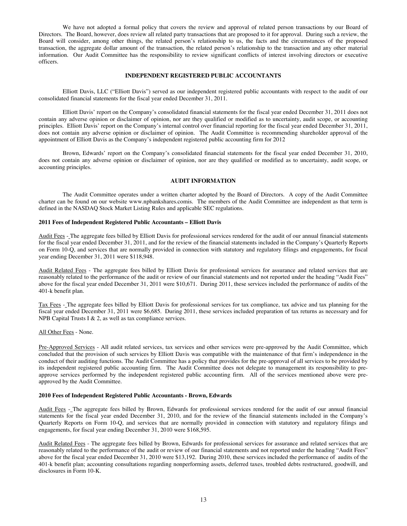We have not adopted a formal policy that covers the review and approval of related person transactions by our Board of Directors. The Board, however, does review all related party transactions that are proposed to it for approval. During such a review, the Board will consider, among other things, the related person's relationship to us, the facts and the circumstances of the proposed transaction, the aggregate dollar amount of the transaction, the related person's relationship to the transaction and any other material information. Our Audit Committee has the responsibility to review significant conflicts of interest involving directors or executive officers.

#### **INDEPENDENT REGISTERED PUBLIC ACCOUNTANTS**

Elliott Davis, LLC ("Elliott Davis") served as our independent registered public accountants with respect to the audit of our consolidated financial statements for the fiscal year ended December 31, 2011.

Elliott Davis' report on the Company's consolidated financial statements for the fiscal year ended December 31, 2011 does not contain any adverse opinion or disclaimer of opinion, nor are they qualified or modified as to uncertainty, audit scope, or accounting principles. Elliott Davis' report on the Company's internal control over financial reporting for the fiscal year ended December 31, 2011, does not contain any adverse opinion or disclaimer of opinion. The Audit Committee is recommending shareholder approval of the appointment of Elliott Davis as the Company's independent registered public accounting firm for 2012

Brown, Edwards' report on the Company's consolidated financial statements for the fiscal year ended December 31, 2010, does not contain any adverse opinion or disclaimer of opinion, nor are they qualified or modified as to uncertainty, audit scope, or accounting principles.

#### **AUDIT INFORMATION**

The Audit Committee operates under a written charter adopted by the Board of Directors. A copy of the Audit Committee charter can be found on our website www.npbankshares.comis. The members of the Audit Committee are independent as that term is defined in the NASDAQ Stock Market Listing Rules and applicable SEC regulations.

#### **2011 Fees of Independent Registered Public Accountants – Elliott Davis**

Audit Fees - The aggregate fees billed by Elliott Davis for professional services rendered for the audit of our annual financial statements for the fiscal year ended December 31, 2011, and for the review of the financial statements included in the Company's Quarterly Reports on Form 10-Q, and services that are normally provided in connection with statutory and regulatory filings and engagements, for fiscal year ending December 31, 2011 were \$118,948.

Audit Related Fees - The aggregate fees billed by Elliott Davis for professional services for assurance and related services that are reasonably related to the performance of the audit or review of our financial statements and not reported under the heading "Audit Fees" above for the fiscal year ended December 31, 2011 were \$10,671. During 2011, these services included the performance of audits of the 401-k benefit plan.

Tax Fees - The aggregate fees billed by Elliott Davis for professional services for tax compliance, tax advice and tax planning for the fiscal year ended December 31, 2011 were \$6,685. During 2011, these services included preparation of tax returns as necessary and for NPB Capital Trusts I & 2, as well as tax compliance services.

#### All Other Fees - None.

Pre-Approved Services - All audit related services, tax services and other services were pre-approved by the Audit Committee, which concluded that the provision of such services by Elliott Davis was compatible with the maintenance of that firm's independence in the conduct of their auditing functions. The Audit Committee has a policy that provides for the pre-approval of all services to be provided by its independent registered public accounting firm. The Audit Committee does not delegate to management its responsibility to preapprove services performed by the independent registered public accounting firm. All of the services mentioned above were preapproved by the Audit Committee.

#### **2010 Fees of Independent Registered Public Accountants - Brown, Edwards**

Audit Fees - The aggregate fees billed by Brown, Edwards for professional services rendered for the audit of our annual financial statements for the fiscal year ended December 31, 2010, and for the review of the financial statements included in the Company's Quarterly Reports on Form 10-Q, and services that are normally provided in connection with statutory and regulatory filings and engagements, for fiscal year ending December 31, 2010 were \$168,595.

Audit Related Fees - The aggregate fees billed by Brown, Edwards for professional services for assurance and related services that are reasonably related to the performance of the audit or review of our financial statements and not reported under the heading "Audit Fees" above for the fiscal year ended December 31, 2010 were \$13,192. During 2010, these services included the performance of audits of the 401-k benefit plan; accounting consultations regarding nonperforming assets, deferred taxes, troubled debts restructured, goodwill, and disclosures in Form 10-K.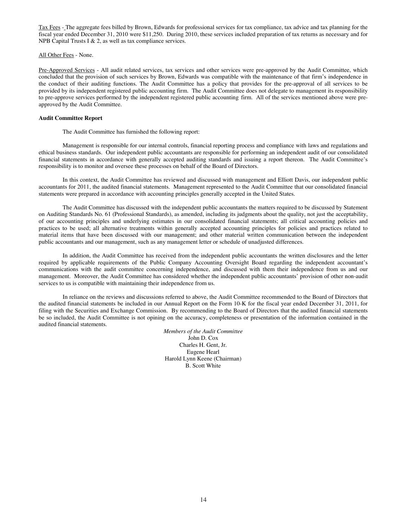Tax Fees - The aggregate fees billed by Brown, Edwards for professional services for tax compliance, tax advice and tax planning for the fiscal year ended December 31, 2010 were \$11,250. During 2010, these services included preparation of tax returns as necessary and for NPB Capital Trusts I & 2, as well as tax compliance services.

All Other Fees - None.

Pre-Approved Services - All audit related services, tax services and other services were pre-approved by the Audit Committee, which concluded that the provision of such services by Brown, Edwards was compatible with the maintenance of that firm's independence in the conduct of their auditing functions. The Audit Committee has a policy that provides for the pre-approval of all services to be provided by its independent registered public accounting firm. The Audit Committee does not delegate to management its responsibility to pre-approve services performed by the independent registered public accounting firm. All of the services mentioned above were preapproved by the Audit Committee.

#### **Audit Committee Report**

The Audit Committee has furnished the following report:

Management is responsible for our internal controls, financial reporting process and compliance with laws and regulations and ethical business standards. Our independent public accountants are responsible for performing an independent audit of our consolidated financial statements in accordance with generally accepted auditing standards and issuing a report thereon. The Audit Committee's responsibility is to monitor and oversee these processes on behalf of the Board of Directors.

In this context, the Audit Committee has reviewed and discussed with management and Elliott Davis, our independent public accountants for 2011, the audited financial statements. Management represented to the Audit Committee that our consolidated financial statements were prepared in accordance with accounting principles generally accepted in the United States.

The Audit Committee has discussed with the independent public accountants the matters required to be discussed by Statement on Auditing Standards No. 61 (Professional Standards), as amended, including its judgments about the quality, not just the acceptability, of our accounting principles and underlying estimates in our consolidated financial statements; all critical accounting policies and practices to be used; all alternative treatments within generally accepted accounting principles for policies and practices related to material items that have been discussed with our management; and other material written communication between the independent public accountants and our management, such as any management letter or schedule of unadjusted differences.

In addition, the Audit Committee has received from the independent public accountants the written disclosures and the letter required by applicable requirements of the Public Company Accounting Oversight Board regarding the independent accountant's communications with the audit committee concerning independence, and discussed with them their independence from us and our management. Moreover, the Audit Committee has considered whether the independent public accountants' provision of other non-audit services to us is compatible with maintaining their independence from us.

In reliance on the reviews and discussions referred to above, the Audit Committee recommended to the Board of Directors that the audited financial statements be included in our Annual Report on the Form 10-K for the fiscal year ended December 31, 2011, for filing with the Securities and Exchange Commission. By recommending to the Board of Directors that the audited financial statements be so included, the Audit Committee is not opining on the accuracy, completeness or presentation of the information contained in the audited financial statements.

> *Members of the Audit Committee* John D. Cox Charles H. Gent, Jr. Eugene Hearl Harold Lynn Keene (Chairman) B. Scott White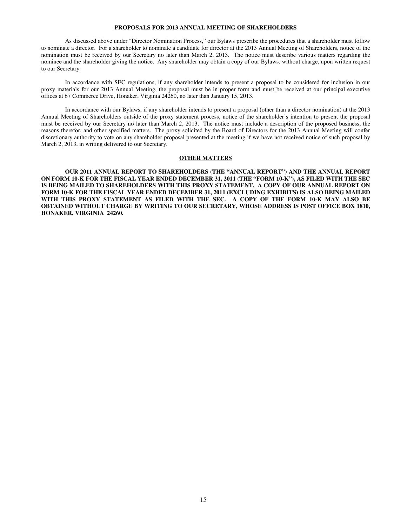#### **PROPOSALS FOR 2013 ANNUAL MEETING OF SHAREHOLDERS**

As discussed above under "Director Nomination Process," our Bylaws prescribe the procedures that a shareholder must follow to nominate a director. For a shareholder to nominate a candidate for director at the 2013 Annual Meeting of Shareholders, notice of the nomination must be received by our Secretary no later than March 2, 2013. The notice must describe various matters regarding the nominee and the shareholder giving the notice. Any shareholder may obtain a copy of our Bylaws, without charge, upon written request to our Secretary.

In accordance with SEC regulations, if any shareholder intends to present a proposal to be considered for inclusion in our proxy materials for our 2013 Annual Meeting, the proposal must be in proper form and must be received at our principal executive offices at 67 Commerce Drive, Honaker, Virginia 24260, no later than January 15, 2013.

In accordance with our Bylaws, if any shareholder intends to present a proposal (other than a director nomination) at the 2013 Annual Meeting of Shareholders outside of the proxy statement process, notice of the shareholder's intention to present the proposal must be received by our Secretary no later than March 2, 2013. The notice must include a description of the proposed business, the reasons therefor, and other specified matters. The proxy solicited by the Board of Directors for the 2013 Annual Meeting will confer discretionary authority to vote on any shareholder proposal presented at the meeting if we have not received notice of such proposal by March 2, 2013, in writing delivered to our Secretary.

#### **OTHER MATTERS**

**OUR 2011 ANNUAL REPORT TO SHAREHOLDERS (THE "ANNUAL REPORT") AND THE ANNUAL REPORT ON FORM 10-K FOR THE FISCAL YEAR ENDED DECEMBER 31, 2011 (THE "FORM 10-K"), AS FILED WITH THE SEC IS BEING MAILED TO SHAREHOLDERS WITH THIS PROXY STATEMENT. A COPY OF OUR ANNUAL REPORT ON FORM 10-K FOR THE FISCAL YEAR ENDED DECEMBER 31, 2011 (EXCLUDING EXHIBITS) IS ALSO BEING MAILED WITH THIS PROXY STATEMENT AS FILED WITH THE SEC. A COPY OF THE FORM 10-K MAY ALSO BE OBTAINED WITHOUT CHARGE BY WRITING TO OUR SECRETARY, WHOSE ADDRESS IS POST OFFICE BOX 1810, HONAKER, VIRGINIA 24260.**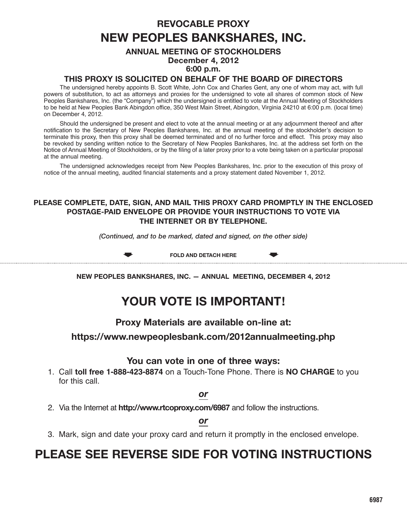# **reVocaBle ProXY New PeoPles BaNkshares, INc.**

# **aNNUal MeeTING oF sTockholDers December 4, 2012 6:00 p.m.**

# **ThIs ProXY Is solIcITeD oN BehalF oF The BoarD oF DIrecTors**

The undersigned hereby appoints B. Scott White, John Cox and Charles Gent, any one of whom may act, with full powers of substitution, to act as attorneys and proxies for the undersigned to vote all shares of common stock of New Peoples Bankshares, Inc. (the "Company") which the undersigned is entitled to vote at the Annual Meeting of Stockholders to be held at New Peoples Bank Abingdon office, 350 West Main Street, Abingdon, Virginia 24210 at 6:00 p.m. (local time) on December 4, 2012.

Should the undersigned be present and elect to vote at the annual meeting or at any adjournment thereof and after notification to the Secretary of New Peoples Bankshares, Inc. at the annual meeting of the stockholder's decision to terminate this proxy, then this proxy shall be deemed terminated and of no further force and effect. This proxy may also be revoked by sending written notice to the Secretary of New Peoples Bankshares, Inc. at the address set forth on the Notice of Annual Meeting of Stockholders, or by the filing of a later proxy prior to a vote being taken on a particular proposal at the annual meeting.

The undersigned acknowledges receipt from New Peoples Bankshares, Inc. prior to the execution of this proxy of notice of the annual meeting, audited financial statements and a proxy statement dated November 1, 2012.

# **Please coMPleTe, DaTe, sIGN, aND MaIl ThIs ProXY carD ProMPTlY IN The eNcloseD PosTaGe-PaID eNVeloPe or ProVIDe YoUr INsTrUcTIoNs To VoTe VIa The INTerNeT or BY TelePhoNe.**

*(Continued, and to be marked, dated and signed, on the other side)*

 $\bullet$ 

**FolD aND DeTach here**

 $\bullet$ 

**New PeoPles BaNkshares, INc. — aNNUal MeeTING, DeceMBer 4, 2012**

# **YoUr VoTe Is IMPorTaNT!**

**Proxy Materials are available on-line at:**

**https://www.newpeoplesbank.com/2012annualmeeting.php**

# **You can vote in one of three ways:**

1. Call **toll free 1-888-423-8874** on a Touch-Tone Phone. There is **No charGe** to you for this call.

*or*

2. Via the Internet at **http://www.rtcoproxy.com/6987** and follow the instructions.

*or*

3. Mark, sign and date your proxy card and return it promptly in the enclosed envelope.

# **Please see reVerse sIDe For VoTING INsTrUcTIoNs**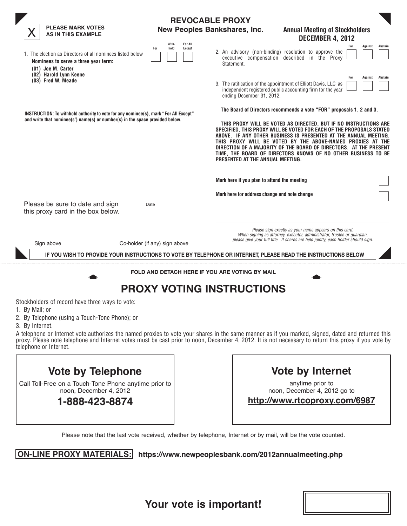| <b>PLEASE MARK VOTES</b><br><b>AS IN THIS EXAMPLE</b>                                                                                                                |                                                         | <b>REVOCABLE PROXY</b><br><b>New Peoples Bankshares, Inc.</b>                                | <b>Annual Meeting of Stockholders</b>                                                                                                                                                                                                                                                                                                                                                                                                                                                    |                           |
|----------------------------------------------------------------------------------------------------------------------------------------------------------------------|---------------------------------------------------------|----------------------------------------------------------------------------------------------|------------------------------------------------------------------------------------------------------------------------------------------------------------------------------------------------------------------------------------------------------------------------------------------------------------------------------------------------------------------------------------------------------------------------------------------------------------------------------------------|---------------------------|
| 1. The election as Directors of all nominees listed below<br>Nominees to serve a three year term:<br>(01) Joe M. Carter                                              | With-<br><b>For All</b><br>hold<br><b>Except</b><br>For | 2. An advisory (non-binding) resolution to approve the<br>Statement.                         | <b>DECEMBER 4, 2012</b><br>executive compensation described in the Proxy                                                                                                                                                                                                                                                                                                                                                                                                                 | Against<br><b>Abstain</b> |
| (02) Harold Lynn Keene<br>(03) Fred W. Meade                                                                                                                         |                                                         | 3. The ratification of the appointment of Elliott Davis, LLC as<br>ending December 31, 2012. | For<br>independent registered public accounting firm for the year                                                                                                                                                                                                                                                                                                                                                                                                                        | Against<br><b>Abstain</b> |
| INSTRUCTION: To withhold authority to vote for any nominee(s), mark "For All Except"<br>and write that nominee(s') name(s) or number(s) in the space provided below. |                                                         | PRESENTED AT THE ANNUAL MEETING.                                                             | The Board of Directors recommends a vote "FOR" proposals 1, 2 and 3.<br>THIS PROXY WILL BE VOTED AS DIRECTED, BUT IF NO INSTRUCTIONS ARE<br>SPECIFIED, THIS PROXY WILL BE VOTED FOR EACH OF THE PROPOSALS STATED<br>ABOVE. IF ANY OTHER BUSINESS IS PRESENTED AT THE ANNUAL MEETING.<br>THIS PROXY WILL BE VOTED BY THE ABOVE-NAMED PROXIES AT THE<br>DIRECTION OF A MAJORITY OF THE BOARD OF DIRECTORS. AT THE PRESENT<br>TIME, THE BOARD OF DIRECTORS KNOWS OF NO OTHER BUSINESS TO BE |                           |
|                                                                                                                                                                      |                                                         | Mark here if you plan to attend the meeting                                                  |                                                                                                                                                                                                                                                                                                                                                                                                                                                                                          |                           |
| Please be sure to date and sign<br>this proxy card in the box below.                                                                                                 | Date                                                    | Mark here for address change and note change                                                 |                                                                                                                                                                                                                                                                                                                                                                                                                                                                                          |                           |
| Sign above                                                                                                                                                           | - Co-holder (if any) sign above                         |                                                                                              | Please sign exactly as your name appears on this card.<br>When signing as attorney, executor, administrator, trustee or quardian,<br>please give your full title. If shares are held jointly, each holder should sign.                                                                                                                                                                                                                                                                   |                           |
| IF YOU WISH TO PROVIDE YOUR INSTRUCTIONS TO VOTE BY TELEPHONE OR INTERNET, PLEASE READ THE INSTRUCTIONS BELOW                                                        |                                                         |                                                                                              |                                                                                                                                                                                                                                                                                                                                                                                                                                                                                          |                           |
|                                                                                                                                                                      |                                                         | FOLD AND DETACH HERE IF YOU ARE VOTING BY MAIL                                               |                                                                                                                                                                                                                                                                                                                                                                                                                                                                                          |                           |
|                                                                                                                                                                      |                                                         | <b>PROXY VOTING INSTRUCTIONS</b>                                                             |                                                                                                                                                                                                                                                                                                                                                                                                                                                                                          |                           |
| Stockholders of record have three ways to vote:<br>1. By Mail; or                                                                                                    |                                                         |                                                                                              |                                                                                                                                                                                                                                                                                                                                                                                                                                                                                          |                           |

- 2. By Telephone (using a Touch-Tone Phone); or
- 3. By Internet.

A telephone or Internet vote authorizes the named proxies to vote your shares in the same manner as if you marked, signed, dated and returned this proxy. Please note telephone and Internet votes must be cast prior to noon, December 4, 2012. It is not necessary to return this proxy if you vote by telephone or Internet.

Call Toll-Free on a Touch-Tone Phone anytime prior to noon, December 4, 2012

**1-888-423-8874**

| <b>Vote by Internet</b> |  |
|-------------------------|--|
|-------------------------|--|

anytime prior to noon, December 4, 2012 go to

**http://www.rtcoproxy.com/6987**

Please note that the last vote received, whether by telephone, Internet or by mail, will be the vote counted.

**ON-LiNe PrOxy MateriaLs: https://www.newpeoplesbank.com/2012annualmeeting.php**

**your vote is important!**